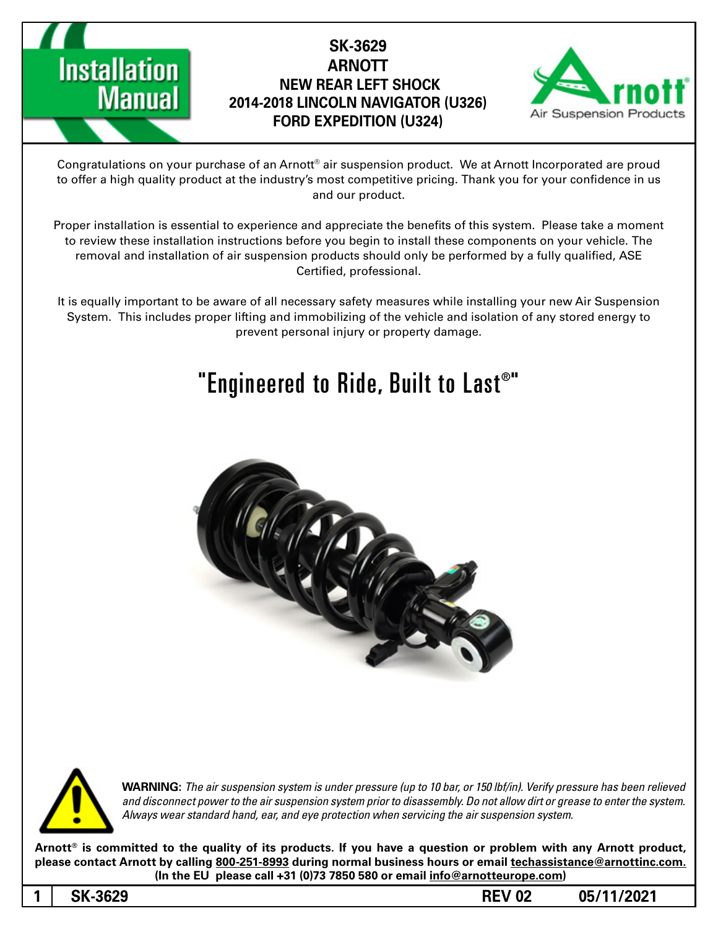

### **SK-3629 ARNOTT NEW REAR LEFT SHOCK 2014-2018 LINCOLN NAVIGATOR (U326) FORD EXPEDITION (U324)**



Congratulations on your purchase of an Arnott® air suspension product. We at Arnott Incorporated are proud to offer a high quality product at the industry's most competitive pricing. Thank you for your confidence in us and our product.

Proper installation is essential to experience and appreciate the benefits of this system. Please take a moment to review these installation instructions before you begin to install these components on your vehicle. The removal and installation of air suspension products should only be performed by a fully qualified, ASE Certified, professional.

It is equally important to be aware of all necessary safety measures while installing your new Air Suspension System. This includes proper lifting and immobilizing of the vehicle and isolation of any stored energy to prevent personal injury or property damage.

## "Engineered to Ride, Built to Last $^{\circ}$ "





**WARNING:** The air suspension system is under pressure (up to 10 bar, or 150 lbf/in). Verify pressure has been relieved and disconnect power to the air suspension system prior to disassembly. Do not allow dirt or grease to enter the system. Always wear standard hand, ear, and eye protection when servicing the air suspension system.

Arnott<sup>®</sup> is committed to the quality of its products. If you have a question or problem with any Arnott product, please contact Arnott by calling 800-251-8993 during normal business hours or email techassistance@arnottinc.com. (In the EU please call +31 (0)73 7850 580 or email info@arnotteurope.com)

**05/11/2021 02 REV -3629SK 1**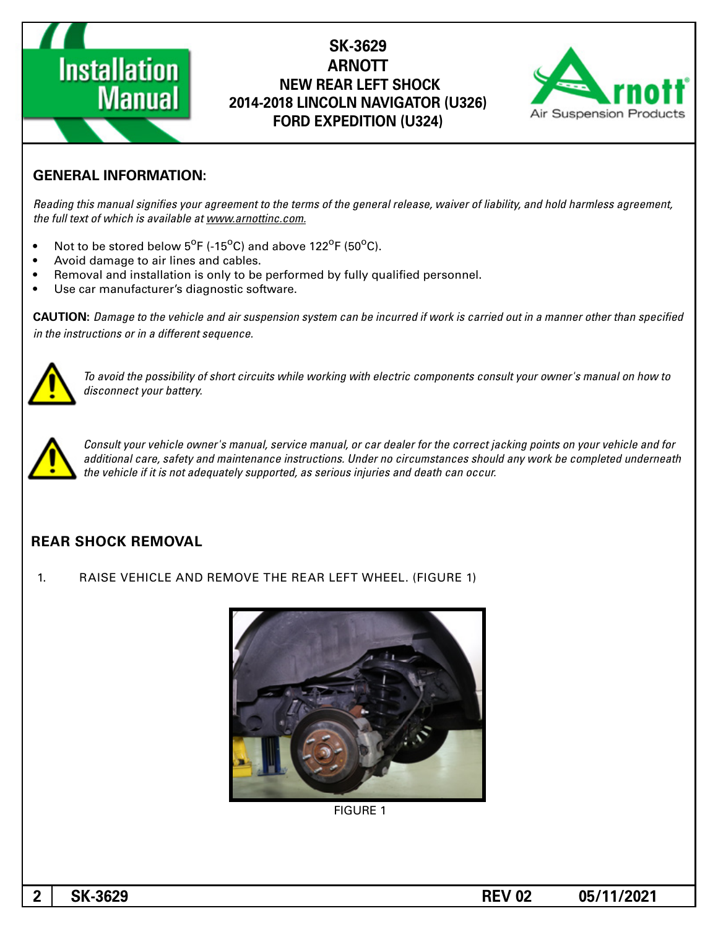# **Installation Manual**

#### **SK-3629 ARNOTT NEW REAR LEFT SHOCK 2014-2018 LINCOLN NAVIGATOR (U326) FORD EXPEDITION (U324)**



#### **GENERAL INFORMATION:**

Reading this manual signifies your agreement to the terms of the general release, waiver of liability, and hold harmless agreement, the full text of which is available at www.arnottinc.com.

- Not to be stored below 5<sup>o</sup>F (-15<sup>o</sup>C) and above 122<sup>o</sup>F (50<sup>o</sup>C).
- Avoid damage to air lines and cables.
- Removal and installation is only to be performed by fully qualified personnel.
- Use car manufacturer's diagnostic software.

**CAUTION:** Damage to the vehicle and air suspension system can be incurred if work is carried out in a manner other than specified *in the instructions or in a different sequence.* 



To avoid the possibility of short circuits while working with electric components consult your owner's manual on how to disconnect your battery.



Consult your vehicle owner's manual, service manual, or car dealer for the correct jacking points on your vehicle and for additional care, safety and maintenance instructions. Under no circumstances should any work be completed underneath the vehicle if it is not adequately supported, as serious injuries and death can occur.

#### **REAR SHOCK REMOVAL**

1. RAISE VEHICLE AND REMOVE THE REAR LEFT WHEEL. (FIGURE 1)



**FIGURE 1**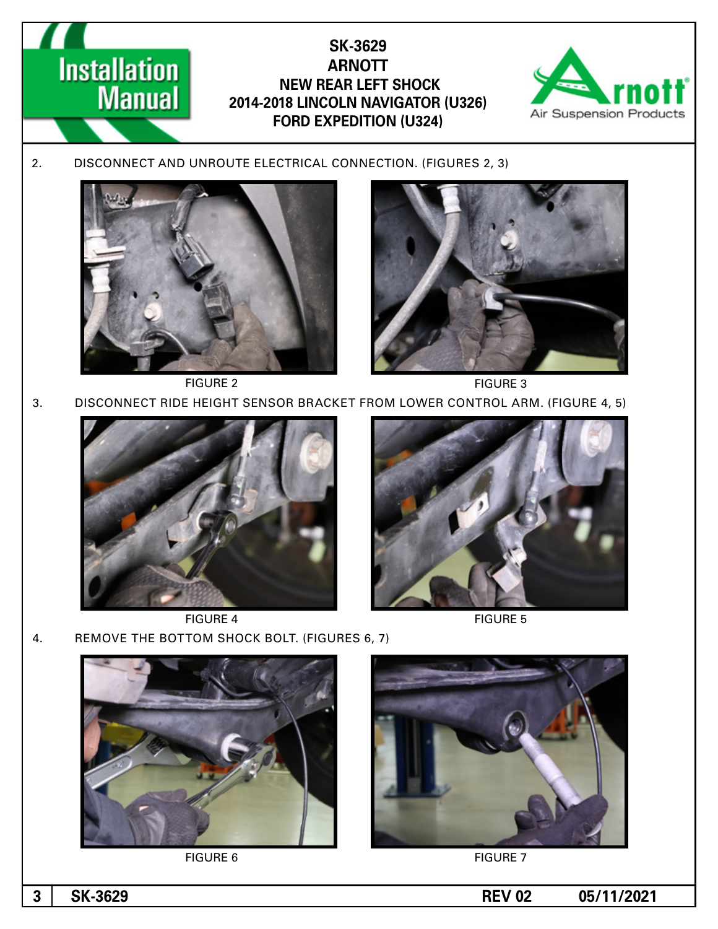



FIGURE 4 FIGURE 5

4. REMOVE THE BOTTOM SHOCK BOLT. (FIGURES 6, 7)



FIGURE 6 FIGURE 7



**1 05/11/2021 -3 1 12/2021 12/2021 12/3021**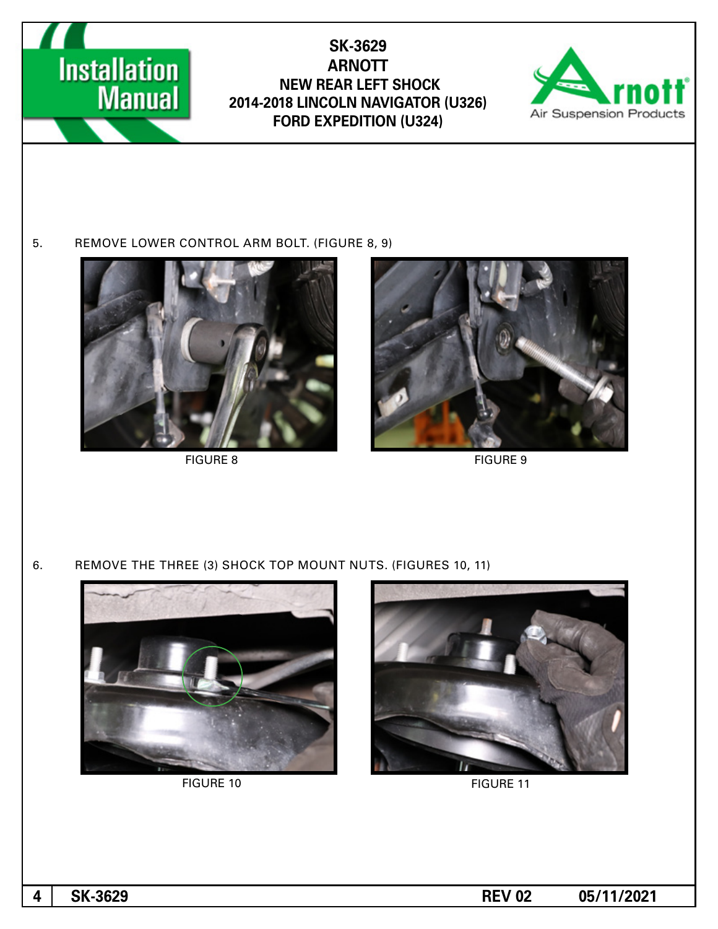

#### **SK-3629 ARNOTT NEW REAR LEFT SHOCK 2014-2018 LINCOLN NAVIGATOR (U326) FORD EXPEDITION (U324)**



#### 5. REMOVE LOWER CONTROL ARM BOLT. (FIGURE 8, 9)



FIGURE 8 FIGURE 9



6. REMOVE THE THREE (3) SHOCK TOP MOUNT NUTS. (FIGURES 10, 11)



FIGURE 10 FIGURE 11





**1** SK-3629 REV 02 05/11/2021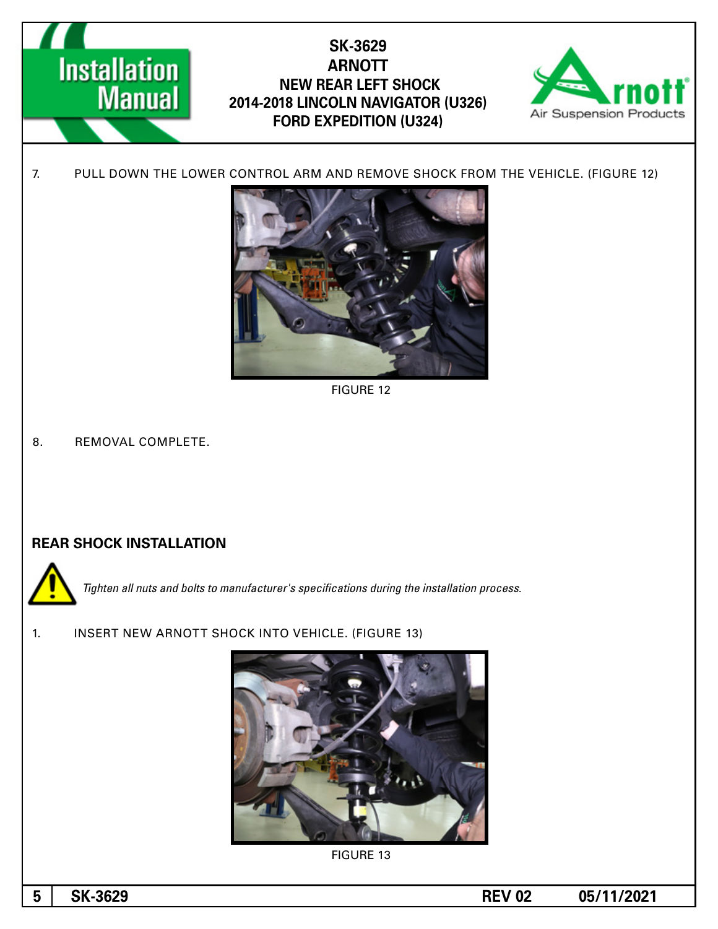



**FIGURE 12** 

8. REMOVAL COMPLETE.

#### **REAR SHOCK INSTALLATION**



**Tighten all nuts and bolts to manufacturer's specifications during the installation process.** 

1. INSERT NEW ARNOTT SHOCK INTO VEHICLE. (FIGURE 13)



**FIGURE 13**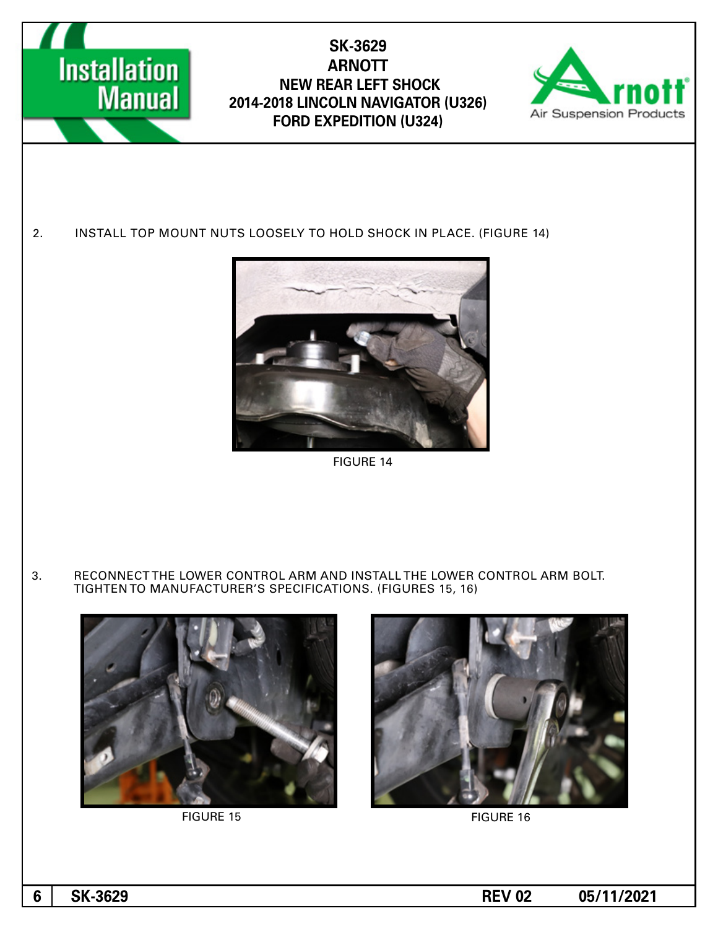

FIGURE 15 FIGURE 16

**1 05/11/2021 -3629 -36/11/2021 -45/11/2021 -45/11/2021**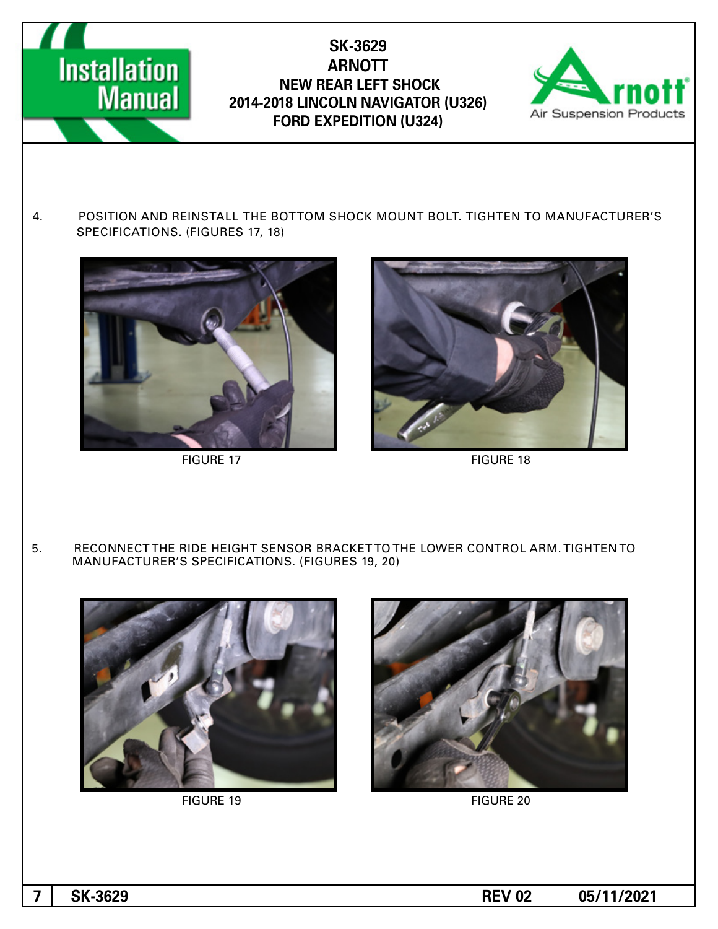

#### **SK-3629 ARNOTT NEW REAR LEFT SHOCK 2014-2018 LINCOLN NAVIGATOR (U326) FORD EXPEDITION (U324)**



4. POSITION AND REINSTALL THE BOTTOM SHOCK MOUNT BOLT. TIGHTEN TO MANUFACTURER'S SPECIFICATIONS. (FIGURES 17, 18)





FIGURE 17 FIGURE 18

5. RECONNECT THE RIDE HEIGHT SENSOR BRACKET TO THE LOWER CONTROL ARM. TIGHTEN TO MANUFACTURER'S SPECIFICATIONS. (FIGURES 19, 20)



PIGURE 19 FIGURE 20





**1** SK-3629 **REV** 02 **05/11/2021**